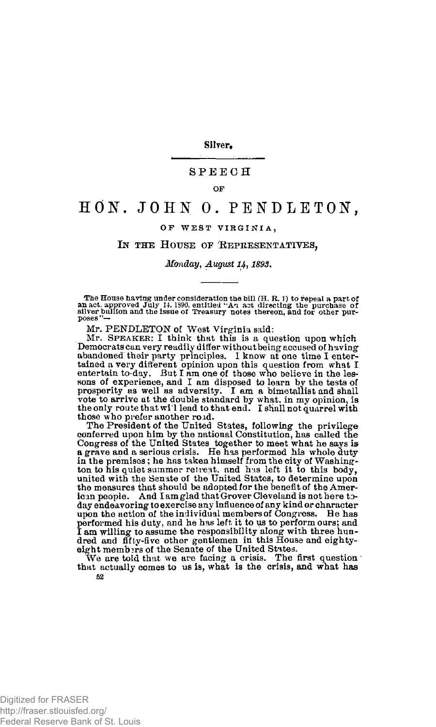Silver.

## **SPEEC H**

**OF** 

## HON. JOHN O. PENDLETON,

## OF WEST VIRGINIA,

## **IN THE HOUSE OF REPRESENTATIVES,**

*Monday, August 14, 1893.* 

The House having under consideration the bill  $(H, R, I)$  to repeal a part of<br>an act. approved July 14. 1990, entitled "An act directing the purchase of<br>silver bullion and the issue of Treasury notes thereon, and for other p

Mr. PENDLETON of West Virginia said: Mr. **SPEAKER**: I think that this is a question upon which Democrats can very readily differ without being accused of having<br>abandoned their party principles. I know at one time I enter-<br>tained a very different opinion upon this question from what I<br>entertain to-day. But I am one vote to arrive at the double standard by what, in my opinion, is the only route that wi'l lead to that end. I shall not quarrel with those who prefer another roid.

The President of the United States, following the privilege conferred upon him by the national Constitution, has called the Congress of the United States together to meet what he says is<br>a grave and a serious crisis. He has performed his whole duty<br>in the premises; he has taken himself from the city of Washing-<br>ton to his quiet summer retreat, the measures that should be adopted for the benefit of the American people. And I am glad that Grover Cleveland is not here today endeavoring to exercise any influence of any kind or character upon the action of the individual members of Congress. He has performed his duty, and he has left it to us to perform ours; and I am willing to assume the responsibility along with three hundred and fifty-five other gentlemen in this House and eightyeight members of the Senate of the United States.

We are told that we are facing a crisis. The first question that actually comes to us is, what is the crisis, and what has **52**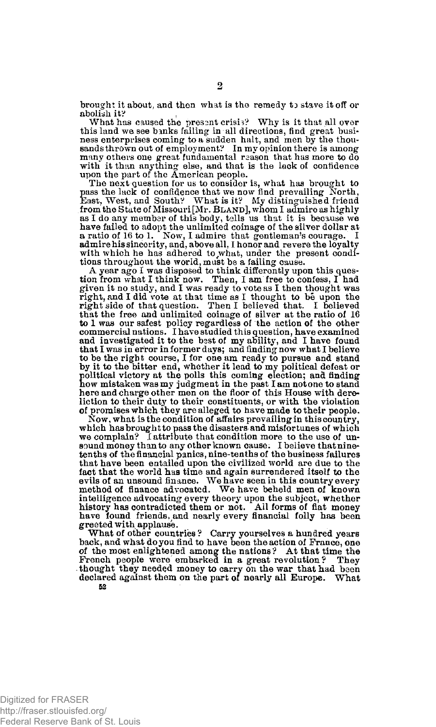brought it about, and then what is the remedy *to* stave it off or abolish it? ,

What has caused the present crisis? Why is it that all over this land we see banks failing in all directions, find great business enterprises coming to a sudden halt, and men by the thousands thrown out of employment? In my opinion there is among many others one great fundamental reason that has more to do with it than anything else, and that is the lack of confidence upon the part of the American people.

The next question for us to consider is, what has brought to pass the lack of confidence that we now find prevailing North, East, West, and South? What is it? My distinguished friend from the State of Missouri [Mr. **BLAND**], whom I admire as highly as I do any member of this body, tells us that it is because we have failed to adopt the unlimited coinage of the silver dollar at a ratio of 16 to 1. Now, I admire that gentleman's courage. I admire his sincerity, and, above all, I honor and revere the loyalty with which he has adhered to what, under the present conditions throughout the world, must be a failing cause.

A year ago I was disposed to think differently upon this ques-tion from what I think now. Then, I am free to confess, I had given it no study, and I was ready to vote as I then thought was Fight, and I did vote at that time as I thought to be upon the<br>right side of that question. Then I believed that. I believed<br>that the free and unlimited coinage of silver at the ratio of 16<br>to 1 was our safest policy regar commercial nations. I have studied this ques tion, have examined and investigated it to the best of my ability, and I have found that I was in error in former days; and finding now what I believe to be the right course, I for one am ready to pursue and stand by it to the bitter end, whether it lead to my political defeat or how mistaken was my judgment in the past I am not one to stand olitical victory at the polls this coming election; and finding here and charge other men on the floor of this House with dereliction to their duty to their constituents, or with the violation of promises which they are alleged to have made to their people.

Now, what is the condition of affairs prevailing in this country, which has brought to pass the disasters and misfortunes of which we complain? I attribute that condition more to the use of un-sound money than to any other known cause. I believe that ninetenths of the financial panics, nine-tenths of the business failures that have been entailed upon the civilized world are due to the fact that the world has time and again surrendered itself to the evils of an unsound finance. We have seen in this country every method of finance advocated. We have beheld men of known intelligence advocating every theory upon the subject, whether history has contradicted them or not. All forms of fiat money have found friends, and nearly every financial folly has been greeted with applause.

What of other countries ? Carry yourselves a hundred years back, and what do you find to have been the action of France, one of the most enlightened among the nations? At that time the French people were embarked in a great revolution? They thought they needed money to carry on the war that had been declared against them on the part of nearly all Europe. What

**52**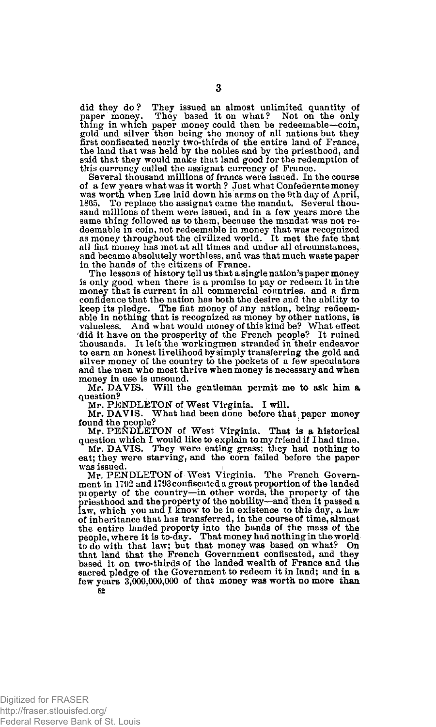did they do? They issued an almost unlimited quantity of paper money. They based it on what? Not on the only thing in which paper money could then be redeemable—coin, gold and silver then being the money of all nations but the land that was held by the nobles and by the priesthood, and said that they would make that land good for the redemption of this currency called the assignat currency of France.<br>Several thousand millions of francs were issued. In the course

of a few years what was it worth ? Just what Confederate money was worth when Lee laid down his arms on the 9th day of April, 1865. To replace the assignat came the mandat. Several thou-sand millions of them were issued, and in a few years more the same thing followed as to them, because the mandat was not redeemable in coin, not redeemable in money that was recognized as money throughout the civilized world. It met the fate that all fiat money has met at all times and under all circumstances, and became absolutely worthless, and was that much waste paper in the hands of the citizens of France.

The lessons of history tell us that a single nation's paper money is only good when there is a promise to pay or redeem it in the money that is current in all commercial countries, and a firm confidence that the nation has both the desire and the ability to keep its pledge. The fiat money of any nation, being redeemable in nothing that is recognized as money by other nations, is valueless. And what would money of this kind be? What etfect did it have on the prosperity of the French people? It ruined<br>thousands. It left the workingmen stranded in their endeavor<br>to earn an honest livelihood by simply transferring the gold and silver money of the country to the pockets of a few speculators and the men who most thrive when money is necessary and when money in use is unsound.

Mr. DAVIS. Will the gentleman permit me to ask him a question?

Mr. PENDLETON of West Virginia. I will.

Mr. DAVIS. What had been done before that paper money

found the people?<br>
Mr. PENDLETON of West Virginia. That is a historical<br>
duestion which I would like to explain to my friend if I had time.<br>
Mr. DAVIS. They were eating grass; they had nothing to

eat; they were starving, and the corn failed before the paper was issued.

Mr. PENDLETON of West Virginia. The French Government in 1792 and 1793 confiscated a great proportion of the landed pioperty of the country—in other words, the property of the priesthood and the property of the nobility—and then it passed a law, which you and I know to be in existence to this day, a law of inheritance that has transferred, in the course of time, almost<br>the entire landed property into the hands of the mass of the<br>people, where it is to-day. That money had nothing in the world<br>to do with that law; but that that land that the French Government confiscated, and they based it on two-thirds of the landed wealth of France and the sacred pledge of the Government to redeem it in land; and in a few years 3,000,000,000 of that money was worth no more than **52**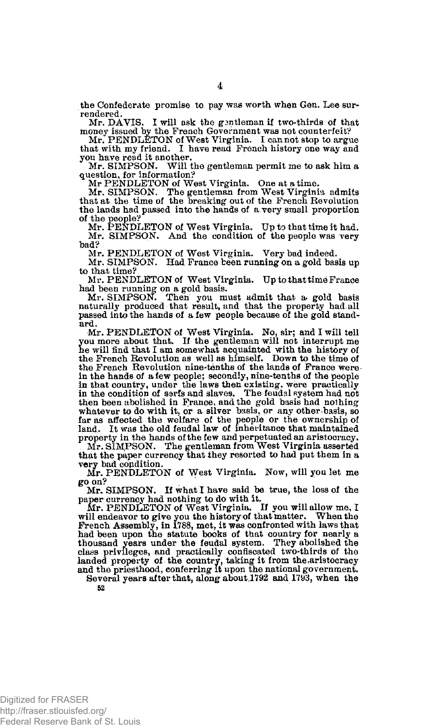the Confederate promise to pay was worth when Gen. Lee surrendered.

Mr. DAVIS. I will ask the gantleman if two-thirds of that

money issued by the French Government was not counterfeit? Mr. PENDLETON of West Virginia. I can not stop to argue that with my friend. I have read French history one way and you have read it another,

Mr. SIMPSON. Will the gentleman permit me to ask him a question, for information? Mr PENDLETON of West Virginia. One at a time.

Mr. SIMPSON. The gentleman from West Virginia admits that at the time of the breaking out of the French Revolution the lands had passed into the hands of a very small proportion

of the people? Mr. PENDLETON of West Virginia. Up to that time it had. Mr. SIMPSON. And the condition of the people was very bad?

Mr. PENDLETON of West Virginia. Very bad indeed.

Mr. SIMPSON. Had France been running on a gold basis up to that time?

Mr. PENDLETON of West Virginia. Up to that time France had been running on a gold basis. Mr. SIMPSON. Then you must admit that a. gold basis

naturally produced that result, and that the property had all passed into the hands of a few people because of the gold standard.

Mr. PENDLETON of West Virginia. No, sir; and I will tell you more about that. If the gentleman will not interrupt me he will find that I am somewhat acquainted with the history of the French Revolution as well as himself. Down to the time of the French Revolution nine-tenths of the lands of France were in the hands of a few people; secondly, nine-tenths of the people in that country, under the laws then existing, were practically in the condition of serfs and slaves. The feudal system had not then been abolished in France, and the gold basis had nothing whatever to do with it, or a silver basis, or any other basis, so far as affected the welfare of the epople or the ownership of land. It was the old feudal law property in the hands of the few and perpetuated an aristocracy. Mr. SIMPSON. The gentleman from West Virginia asserted that the paper currency that they resorted to had put them in a very bad condition.

Mr. PENDLETON of West Virginia. Now, will you let me go on?

Mr. SIMPSON. If what I have said be true, the loss of the paper currency had nothing to do with it. Mr. PENDLETON of West Virginia. If you will allow me, I

will endeavor to give you the history of that matter. When the French Assembly, in 1788, met, it was confronted with laws that had been upon the statute books of that country for nearly a thousand years under the feudal system. They abolished the class privileges, and practically confiscated two-thirds of the landed property of the country, taking it from the,aristocracy and the priesthood, conferring it upon the national government.

Several years after that, along about 1792 and 1793, when the **52** 

**4**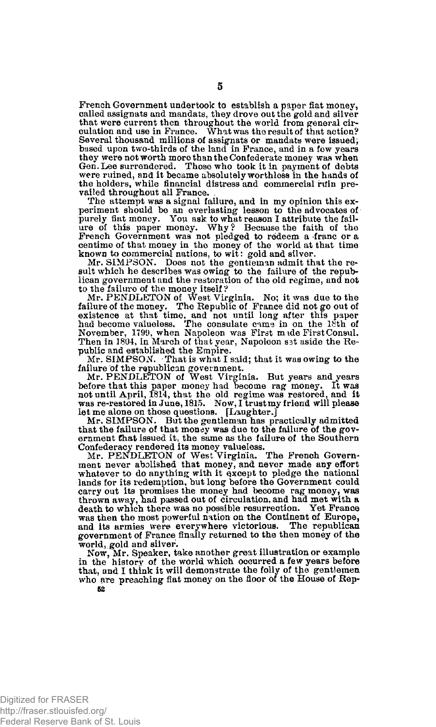French Government undertook to establish a paper fiat money, called assignats and mandats, they drove out the gold and silver that were current then throughout the world from general cir-culation and use in Prance. What was the result of that action? Several thousand millions of assignats or mandats were issued; based upon two-thirds of the land in France, and in a few years they were not worth more than the Confederate money was when Gen. Lee surrendered. Those who took it in payment of debts were ruined, and it became absolutely worthless in the hands of the holders, while financial distress and commercial ruin prevailed throughout all France.

The attempt was a signal failure, and in my opinion this experiment should be an everlasting lesson to the advocates of purely fiat money. You ask to what reason I attribute the fail-ure of this paper money. Why ? Because the faith of the French Government was not pledged to redeem a franc or a centime of that money in the money of the world at that time

known to commercial nations, to wit: gold and silver.<br>Mr. SIMPSON. Does not the gentieman admit that the result which he describes was owing to the failure of the repub-<br>bican government and the restoration of the old regi

to the failure of the money itself?<br>Mr. PENDLETON of West Virginia. No; it was due to the<br>failure of the money. The Republic of France did not go out of existence at that time, and not until long after this paper<br>had become valueless. The consulate cams in on the 18th of<br>November, 1799, when Napoleon was First made First Consul. Then in 1804, in March of that year, Napoleon set aside the Republic and established the Empire.

Mr. SIMPSON. ' That is what I said; that it was owing to the failure of the republican government. Mr. PENDLETON of West Virginia. But years and years

before that this paper money had become rag money. It was not until April, 1814, that the old regime was restored, and it was re-restored in June, 1815. Now, I trust my friend will please

let me alone on those questions. [Laughter.] Mr. SIMPSON. But the gentleman has practically admitted that the failure of that money was due to the failure of the government tfhat issued it, the same as the failure of the Southern Confederacy rendered its money valueless. Mr. PENDLETON of West Virginia. The French Govern-

ment never abolished that money, and never made any effort whatever to do anything with it except to pledge the national lands for its redemption, but long before the Government could carry out its promises the money had become rag money; was thrown away, had passed out of circulation, and had met with a death to which there was no possible resurrection. Yet France was then the most powerful nation on the Continent of Europe, and its armies were everywhere victorious. The republican government of France finally returned to the then money of the world, gold and silver.

Now, Mr. Speaker, take another great illustration or example in the history of the world which occurred a few years before that, and I think it will demonstrate the folly of the gentlemen who are preaching fiat money on the floor of the House of Rep-**52**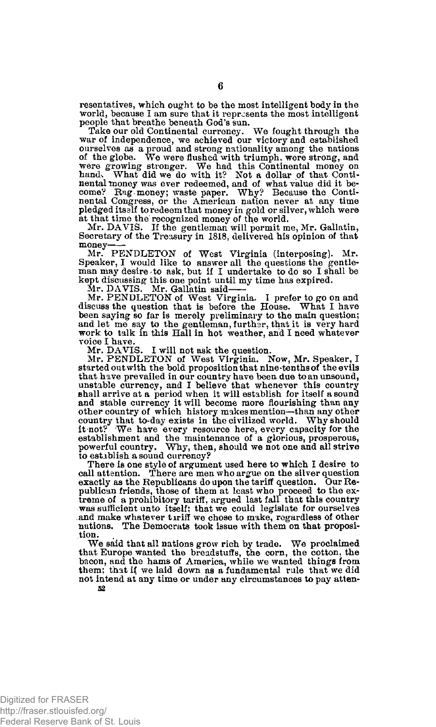resentatives, which ought to be the most intelligent body in the world, because I am sure that it represents the most intelligent people that breathe beneath God's sun.

Take our old Continental currency. We fought through the war of independence, we achieved our victory and established ourselves as a proud and strong nationality among the nations of the globe. We were flushed with triumph, were strong, and were growing stronger. We had this Continental money on hand. What did we do with it? Not a dollar of that Continental money was ever redeemed, and of what value did it become? Evg money; waste paper. Why? Because the Cont pledged itself to redeem that money in gold or silver, which were

at that time the recognized money of the world. Mr. DAVIS. If the gentleman will permit me, Mr. Gallatin, Secretary of the Treasury in 1818, delivered his opinion of that money

Mr. PENDLETON of West Virginia (interposing). Mr. Speaker, I would like to answer all the questions the gentleman may desire to ask, but if I undertake to do so I shall be kept discussing this one point until my time has expired.<br>Mr. DAVIS. Mr. Gallatin said—

Mr. PENDLETON of West Virginia. I prefer to go on and discuss the question that is before the House. What I have been saying so far is merely preliminary to the main question;<br>and let me say to the gentleman, further, that it is very hard<br>work to talk in this Hall in hot weather, and I need whatever voice I have.

Mr. DAVIS. I will not ask the question. Mr. PENDLETON of West Virginia. Now, Mr. Speaker, I started out with the bold proposition that nine-tenths of the evils that have prevailed in our country have been due to an unsound, unstable currency, and I believe that whenever this country shall arrive at a period when it will establish for itself a sound and stable currency it will become more flourishing than any other country of which history makes mention—than any other country that to-day exists in the civilized world. Why should it not? We have every resource here, every capacity for the establishment and the maintenance of a glorious, prosperous, powerful country. Why, then, should we not one and all strive to establish a sound currency?

There is one style of argument used here to which I desire to call attention. There are men who argue on the silver question exactly as the Republicans do upon the tariff question. Our Republican friends, those of them at least who proceed to the ex-treme of a prohibitory tariff, argued last fall that this country was sufficient unto itself; that we could legislate for ourselves and make whatever tiriff we chose to make, regardless of other nations. The Democrats took issue with them on that proposition.

We said that all nations grow rich by trade. We proclaimed that Europe wanted the breadstuffs, the corn, the cotton, the bacon, and the hams of America, while we wanted things from them; that if we laid down as a fundamental rule that we did not intend at any time or under any circumstances to pay atten-**52**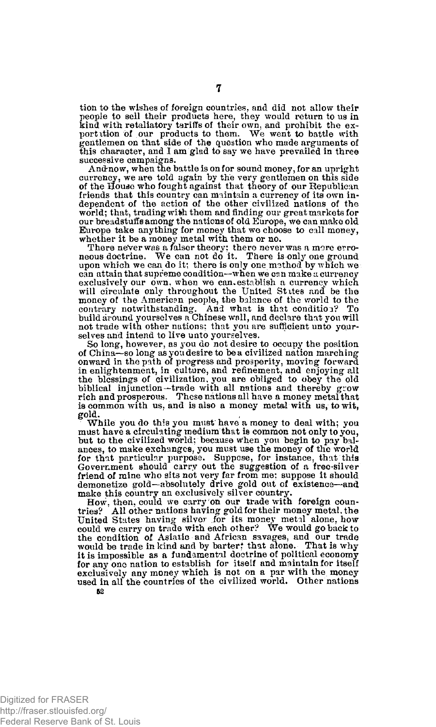tion to the wishes of foreign countries, and did not allow their people to sell their products here, they would return to us in kind with retaliatory tariffs of their own, and prohibit the exportation of our products to them. We went to battle with gantlemen on that side of the question this character, and I am glad to say we have prevailed in three successive campaigns.

And-now, when the battle is on for sound money, for an upright currency, we are told again by the very gentlemen on this side of the House who fought against that theory of our Republican friends that this country can maintain a currency of its own independent of the action of the other civilized nations of the world; that, trading with them and finding our great markets for our breadstuffs among the nations of old Europe, we can make old Europe take anything for money that we choose to call money, whether it be a money metal with them or no.

There never was a falser theory; there never was a more erro-neous doctrine. We can not do it. There is only one ground upon which we can do it; there is only one method by which we can attain that supreme condition—when we csn make a currency exclusively our own, when we can establish a currency which will circulate only throughout the United States and be the money of the American people, the balance of the world to the contrary notwithstanding. And what is that condition? To build around yourselves a Chinese wall, and declare that you will not trade with other nations: that you are sufficient unto yourselves and intend to live unto yourselves.

So long, however, as you do not desire to occupy the position of China—so long as you desire to be a civilized nation marching onward in the path of progress and prosperity, moving forward in enlightenment, in culture, and refinement, and enjoying all the blessings of civilization, you are obliged to obey the old biblical injunction—trade with all nations and thereby grow rich and prosperous. These nations all have a money metal that is common with us. and is also a money metal with us, to wit, gold.

While you do this you must have a money to deal with; you must have a circulating medium that is common not only to you, but to the civilized world; because when you begin to pay bal-ances, to make exchanges, you must use the money of the world for that particular purpose. Suppose, for instance, that this Government should carry out the suggestion of a free-silver friend of mine who sits not very far from me; suppose it should demonetize gold—absolutely drive gold out of existence—and make this country an exclusively silver country.

How, then, could we carry on our trade with foreign countries? All other nations having gold for their money metal, the United States having silver for its money metal alone, how could we carry on trade with each other? We would go back to condition of Asiatic and African savag it is impossible as a fundamental doctrine of political economy for any one nation to establish for itself and maintain for itself exclusively any money which is not on a par with the money used in all the countries of the civilized world. Other nations *52*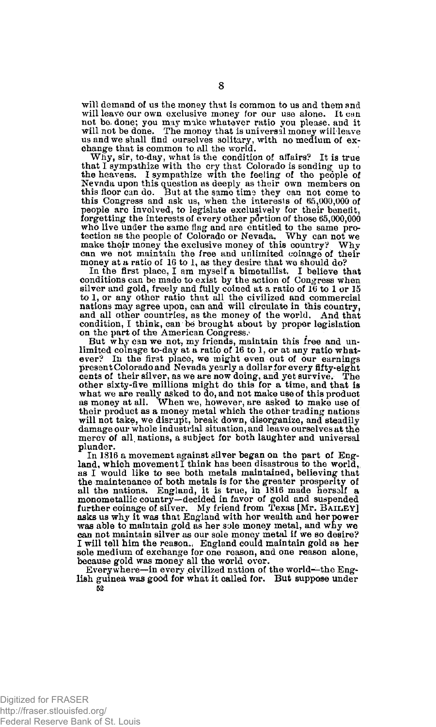will demand of us the money that is common to us and them and will leave our own exclusive money for our use alone. It can not be. done; you may make whatever ratio you please, and it will not be done. The money that is universal money will leave us and we shall find ourselves solitary, with no medium of ex-change that is common to. all the world.

Why, sir, to-day, what is the condition of affairs? It is true that I sympathize with the cry that Colorado is sending up to the heavens. I sympathize with the feeling of the people of Nevada upon this question as deeply as their own members on this floor can do. But at the same time they can not come to this Congress and ask us, when the interests of 65,000,000 of people are involved, to legislate exclusively for their benefit, forgetting the interests of every other portion of those 65,000,000 who live under the same flag and are entitled to the same pro-<br>tection as the people of Colorado or Nevada. Why can not we make their money the exclusive money of this country? Why can we not maintain the free and unlimited coinage of their money at a ratio of 16 to 1, as they desire that we should do?

In the first place, I am myself a bimetallist. I believe that conditions can be made to exist by the action of Congress when silver and gold, freely and ftilly coined at a ratio of 16 to 1 or 15 to 1, or any other ratio that all the civilized and commercial nations may agree upon, can and will circulate in this country, and all other countries, as the money of the world. And that condition, I think, can be brought about by proper legislation on the part of the American Congress.

But why can we not, my friends, maintain this free and un-limited coinage to-day at a ratio of 16 to 1, or at any ratio whatever? In the first place, we might even out of our earnings present Colorado and Nevada yearly a dollar for every fifty-eight cents of their silver, as we are now doing, and yet survive. The other sixty-five millions might do this for a time, and that is what we are really asked to do, and not make use of this product as money at all. When we, however, are asked to make use of their product as a money metal which the other trading nations will not take, we disrupt, break down, disorganize, and steadily damage our whole industrial situation, and leave ourselves at the mercv of all, nations, a subject for both laughter and universal plunder.

In 1816 a movement against silver began on the part of England, which movement  $\tilde{I}$  think has been disastrous to the world, as I would like to see both metals maintained, believing that the maintenance of both metals is for the greater prosperity of all the nations. England, it is true, in 1816 made hersalf a monometallic country—decided in favor of gold and suspended further coinage of silver. My friend from Texas [Mr, **BAILEY]**  asks us why it was that England with her wealth and her power was able to maintain gold as her sole money metal, and why we can not maintain silver as our sole money metal if we so desire? I will tell him the reason., England could maintain gold as her sole medium of exchange for one reason, and one reason alone, because gold was money all the world over.

Every where—in every civilized nation of the world—the English guinea was good for what it called for. But suppose under **52**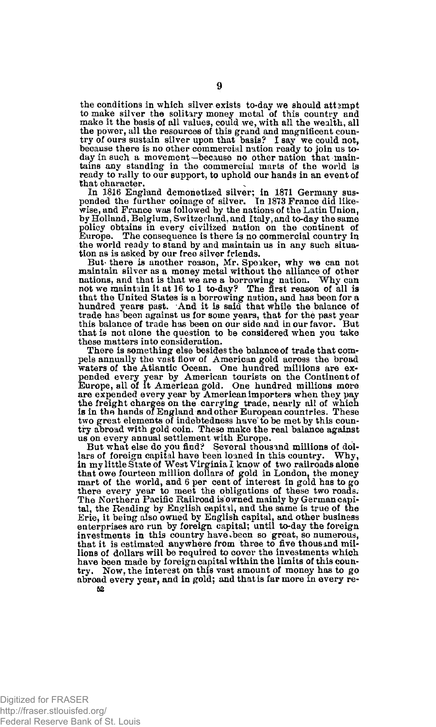the conditions in which silver exists to-day we should attempt to make silver the solitary money metal of this country and make it the basis of all values, could we, with all the wealth, all the power, all the resources of this grand and magnificent country of ours sustain silver upon that basis? I say we could not, because there as excude the day in such a movement—because no other nation that maintains any standing in the commercial marts of the world is ready to rally to our support, to uphold our hands in an event of that character.

In 1816 England demonetized silver; in 1871 Germany sus-pended the further coinage of silver. Tn 1873 France did likewise, and France was followed by the nations of the Latin Union, by Holland, Belgium, Switzerland, and Italy, and to-day the same policy obtains in every civilized nation on the continent of Europe. The consequence is there is no commercial country in Europe. The consequence is there is no commercial country in the world ready to stand by and maintain us in any such situation as is asked by our free silver friends.

But- there is another reason, Mr. Speaker, why we can not maintain silver as a money metal without the alliance of other nations, and that is that we are a borrowing nation. Why can not we maintain it at 16 to 1 to-da^? The first reason of all is that the United States is a borrowing nation, and has been for a hundred years past. And it is said that while the balance of trade has been against us for some years, that for the past year this balance of trade has been on our side and in our favor. But that is not alone the question to be considered when you take these matters into consideration.

There is something else besides the balance of trade that compels annually the vast flow of American gold across the broad waters of the Atlantic Ocean. One hundred millions are expended every year by American tourists on the Continent of Europe, all of it American gold. One hundred millions more are expended every year by American importers when they pay<br>the freight charges on the carrying trade, nearly all of which<br>is in the hands of England and other European countries. These<br>two great elements of indebtedness h try abroad with gold coin. These make the real balance against us on every annual settlement with Europe.

But what else do you find? Several thousand millions of dollars of foreign capital have teen loaned in this country. Why, in my little State of West Virginia I know of two railroads alone that owe fourteen million dollars of gold in London, the money mart of the world, and 6 per cent of interest in gold has to go there every year to meet the obligations of these two roads. The Northern Pacific Railroad is owned mainly by German capital, the Reading by English capital, and the same is true of the Erie, it being also owned by English capital, and other business enterprises are run by foreign capital; until to-day the foreign investments in this country have been so great, so numerous, that it is estimated anywhere from three to five thousmd millions of dollars will be required to cover the investments which have been made by foreign capital within the limits of this country. Now, the interest on this vast amount of money has to go abroad every year, and in gold; and that is far more in every re-52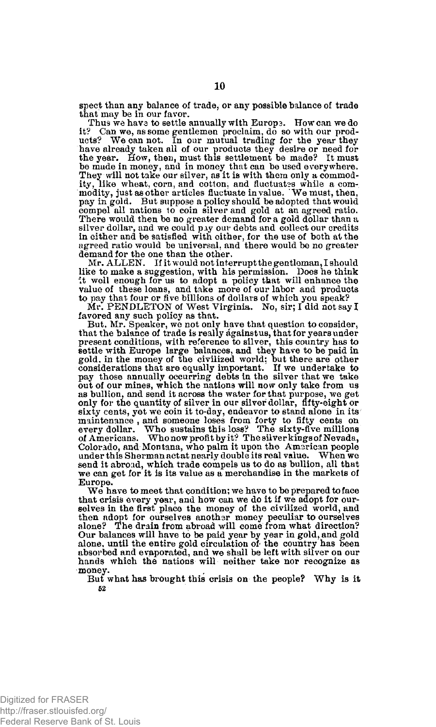spect than any balance of trade, or any possible balance of trade that may be in our favor.

Thus we have to settle annually with Europe. How can we do it? Can we, as some gentlemen proclaim, do so with our products? We can not. In our mutual trading for the year they have already taken all of our products they desire or need for the year. How, then year the year. be made in money, and in money that can be used everywhere. They will not take our silver, as it is with them only a commodity, like wheat, corn, and cotton, and fluctuates while a com-modity, just as other articles fluctuate in value. 'We must, then, pay in gold. But suppose a policy should be adopted that would compel all nations to coin silver and gold at an agreed ratio. There would then be no greater demand for a gold dollar than a silver dollar, and we could pay our debts and collect our credits in either and be satisfied with either, for the use of both at the agreed ratio would be universal, and there would be no greater demand for the one than the other.

Mr. ALLEN. If it would not interrupt the gentleman, I should like to make a suggestion, with his permission. Does he think it well enough for us to adopt a policy that will enhance the value of these loans, and take more of our labor and products to pay that four or five billions of dollars of which you speak?

Mr. PENDLETON of West Virginia. No, sir; I did not say I favored any such policy as that.

But, Mr. Speaker, we not only have that question to consider, that the balance of trade is really againstus, that for years under present conditions, with reference to silver, this country has to settle with Europe large balances, and they have to be paid in gold, in the money of the civilized world; but there are other considerations that are equally important. If we undertake to pay those annually occurring debts in the silver that we take out of our mines, which the nations will now only take from us as bullion, and send it across the water for that purpose, we get only for the quantity of silver in our silver dollar, fifty-eight or sixty cents, yet we coin it to-day, endeavor to stand alone in its maintenance , and someone loses from forty to fifty cents on every dollar. Who sustains this loss? The sixty-five millions of Americans. Who now profit by it ? The silver kings of Nevada, Colorado, and Montana, who palm it upon the American people under this Sherman act at nearly double its real value. send it abroad, which trade compels us to do as bullion, all that we can get for it is its value as a merchandise in the markets of Europe.

We have to meet that condition; we have to be prepared to face that crisis every year, and how can we do it if we adopt for our-<br>selves in the first place the money of the civilized world, and<br>then adopt for ourselves another money peculiar to ourselves<br>alone? The drain from abroad wi Our balances will have to be paid year by year in gold, and gold alone, until the entire gold circulation of- the country has been absorbed and evaporated, and we shall be left with silver on our hands which the nations will neither take nor recognize as money.

But what has brought this crisis on the people? Why is it 52

Digitized for FRASER http://fraser.stlouisfed.org/ Federal Reserve Bank of St. Louis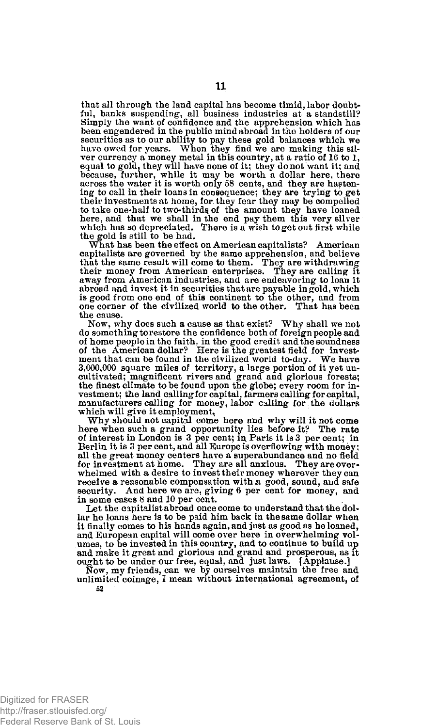that all through the land capital has become timid, labor doubtful, banks suspending, all business industries at a standstill?<br>Simply the want of confidence and the apprehension which has<br>been engendered in the public mind abroad in the holders of our<br>securities as to our ability to p ver currency a money metal in this country, at a ratio of 16 to 1, equal to gold, they will have none of it; they do not want it; and because, further, while it may be worth a dollar here, there across the water it is worth only 58 cents, and they are hasten-ing to call in their loans in consequence; they are trying to get their investments at home, for they fear they may be compelled to take one-half to two-thirds of the amount they have loaned here, and that we shall in the end pay them this very silver which has so depreciated. There is a wish to get out first while the gold is still to be had.

What has been the effect on American capitalists? American capitalists are governed by the same apprehension, and believe that the same result will come to them. They are withdrawing their money from American enterprises. They are calling it away from American industries, and are endeavoring to loan it abroad and invest it in securities that are payable in gold, which is good from one end of this continent to the other, and from one corner of the civilized world to the other. That has been the cause.

Now, why does such a cause as that exist? Why shall we not do something to res tore the confidence both of foreign people and of home people in the faith, in the good credit and the soundness of the American dollar? Here is the greatest field for investment that can be found in the civilized world to-day. We have 3,000,000 square miles of territory, a large portion of it yet un-cultivated; magnificent rivers and grand and glorious forests; the finest climate to be found upon the globe; every room for investment; the land callingforcapital, farmers calling for capital, manufacturers calling for money, labor calling for the dollars which will give it employment,

Why should not capital come here and why will it not come here when such a grand opportunity lies before it? The rate of interest in London is 3 per cent; in, Paris it is 3 per cent; in Berlin it is 3 per cent, and all Europe is overflowing with money; all the great money centers have a superabundance and no field for investment at home. They are all anxious. They are overwhelmed with a desire to invest their money wherever they can receive a reasonable compensation with a good, sound, and safe security. And here we are, giving 6 per cent for money, and in some cases 8 and 10 per cent.

Let the capitalist abroad once come to understand that the dollar he loans here is to be paid him back in the same dollar when it finally comes to his hands again, and just as good as he loaned, and European capital will come over here in overwhelming volumes, to be invested in this country, and to continue to build up and make it great and glorious and grand and prosperous, as it ought to be under our free, equal, and just laws. [Applause.]

Now, my friends, can we by ourselves maintain the free and unlimited coinage, I mean without international agreement, of 52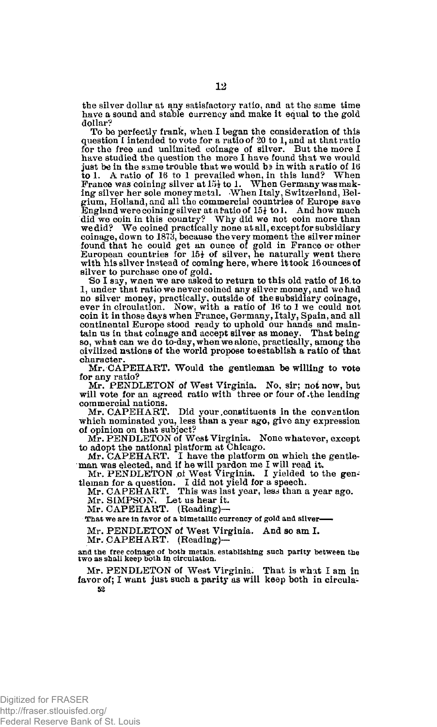the silver dollar at any satisfactory ratio, and at the same time have a sound and stable currency and make it equal to the gold dollar?

To be perfectly frank, when I began the consideration of this question I intended to vote for a ratio of 20 to 1, and at that ratio for the free and unlimited coinage of silver. But the more I have studied the question the just be in the same trouble that we would be in with a ratio of  $16$ to 1. A ratio of 16 to 1 prevailed when, in this land? When<br>France was coining silver at 15<sup>1</sup> to 1. When Germany was mak-<br>ing silver her sole money metal. When Italy, Switzerland, Belgium, Holland, and all the commercial countries of Europe save England were coining silver atafratio of 15£ to 1. And how much did we coin in this country? Why did we not coin more than we did? We coined practically none at all, except for subsidiary coinage, down to 1873, because the very moment the silver miner found that he could get an ounce of gold in France or other European countries for  $15\frac{1}{2}$  of silver, he naturally went there with his silver instead of coming here, where it took 16 ounces of silver to purchase one of gold.

So I say, wnen we are asked to return to this old ratio of 16 to 1, under that ratio we never coined any silver money, and we had no silver money, practically, outside of the subsidiary coinage, ever in circulation. Now, with a ratio of 16 to 1 we could not coin it in those days when France, Germany, Italy, Spain, and all continental Europe stood ready to uphold our hands and main-tain us in that coinage and accept silver as money. That being so, what can we do to-day, when we alone, practically, among the civilized nations of the world propose to establish a ratio of that character

Mr. CAPEHART. Would the gentleman be willing to vote for any ratio?

Mr. PENDLETON of West Virginia. No, sir: not now, but will vote for an agreed ratio with three or four of the leading commercial nations.

Mr. CAPEHART. Did your constituents in the convention which nominated you, less than a year ago, give any expression of opinion on that subject?

Mr. PENDLETON of West Virginia. None whatever, except to adopt the national platform at Chicago.

Mr. CAPEHART. I have the platform on which the gentle-man was elected, and if he will pardon me I will read it. Mr. PENDLETON of West Virginia. I yielded to the gen-tleman for a question. I did not yield for a speech.

Mr. CAPEHART. This was last year, less than a year ago.

Mr. SIMPSON. Let us hear it. Mr. CAPEHART. (Reading)—

That we are in favor of a bimetallic currency of gold and silver-

Mr. PENDLETON of West Virginia. And so am I.

Mr. CAPEHART. (Reading)—

**and the free coinage of both metals, establishing such parity between the two as shall keep both in circulation.** 

Mr. PENDLETON of West Virginia. That is what I am in favor of; I want just such a parity as will keep both in circula-**52**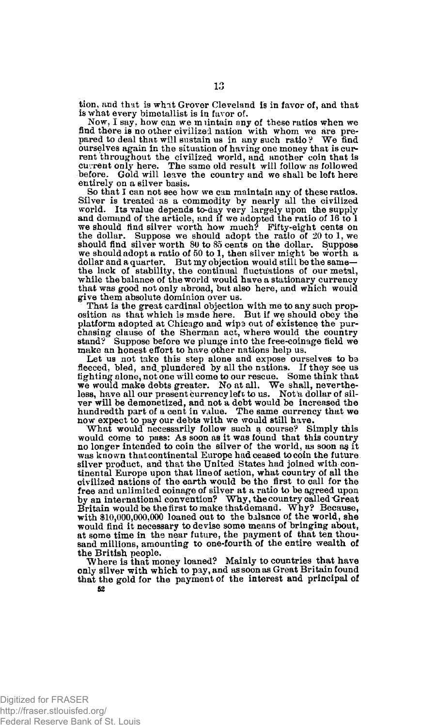tion, and that is what Grover Cleveland is in favor of, and that is what every bimetallist is in favor of.

Now, I say, how can we muntain any of these ratios when we find there is no other civilized nation with whom we are pre-pared to deal that will sustain us in any such ratio? We find ourselves again in the situation of having one money that is current throughout the civilized world, and another coin that is current only here. The same old result will follow as followed<br>before. Gold will leave the country and we shall be left here entirely on a silver basis.

So that I can not see how we can maintain any of these ratios. Silver is treated as a commodity by nearly all the civilized world. Its value depends to-day very largely upon the supply and demand of the article, and if we adopted the ratio of 16 to 1<br>we should find silver worth how mu the dollar. Suppose we should adopt the ratio of 20 to 1, we should find silver worth 80 to 85 cents on the dollar. Suppose we should adopt a ratio of 50 to 1, then silver might be worth a dollar and a quarter. But my objection would still be the same— the lack of stability, the continual fluctuations of our metal, while the balance of the world would have a stationary currency that was good not only abroad, but also here, and which would give them absolute dominion over us.

That is the great cardinal objection with me to any such prop-osition as that which is made here. But if we should obey the platform adopted at Chicago and wipa out of existence the purchasing clause of the Sherman act, where would the country stand? Suppose before we plunge into the free-coinage field we make an honest effort to have other nations help us.

Let us not take this step alone and expose ourselves to be fleeced, bled, and plundered by all the nations. If they see us fighting alone, not one will come to our rescue. Some think that we would make debts greater. No at all. We shall, neverthe-less, have all our present currency left to us. Not'a dollar of silver will be demonetized, and not a debt would be increased the hundredth part of a cent in value. The same currency that we now expect to pay our debts with we would still have.

What would necessarily follow such a course? Simply this would come to pass: As soon as it was found that this country no longer intended to coin the silver of the world, as soon ag it was known that continental Europe had ceased to coin the future. silver product, and that the United States had joined with continental Europe upon that line of action, what country of all the civilized nations of the earth would be the first to call for the free and unlimited coinage of silver at a ratio to be agreed upon<br>by an international convention? Why, the country called Great<br>Britain would be the first to make that demand. Why? Because, with \$10,000,000,000 loaned out to the balance of the world, she would find it necessary to devise some means of bringing about, at some time in the near future, the payment of that ten thousand millions, amounting to one-fourth of the entire wealth of the British people.

Where is that money loaned? Mainly to countries that have only silver with which to pay, and as soon as Great Britain found that the gold for the payment of the interest and principal of 52

Digitized for FRASER http://fraser.stlouisfed.org/ Federal Reserve Bank of St. Louis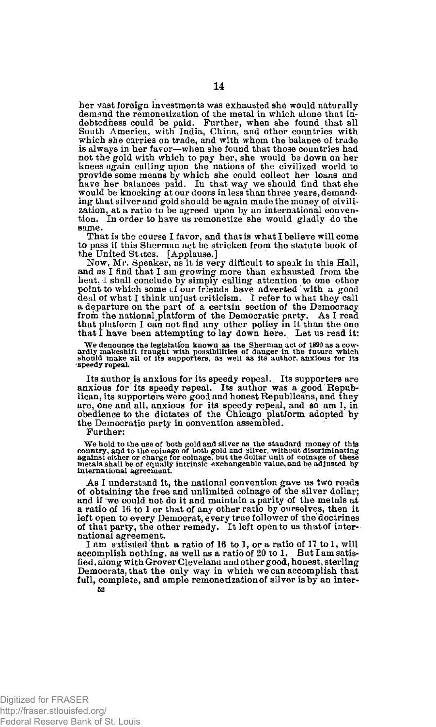her vast foreign investments was exhausted she would naturally demand the remonetization of the metal in which alone that indebtedness could be paid. Further, when she found that all South America, with India, China, and other countries with which she carries on trade, and with whom the balance of trade is always in her favor—when she found that those countries had not the gold with which to pay her, she would be down on her knees again calling upon the nations of the civilized world to provide some means by which she could collect her loans and have her balances paid. In that way we should find that she would be knocking at our doors in less than three years, demanding that silver and gold should be again made the money of civilization, at a ratio to be agreed upon by an international convention. In order to have us remonetize she would gladly do the same.

That is the course I favor, and that is what I believe will come to pass if this Sherman act be stricken from the statute book of the United States. [Applause.]

Now, Mr. Speaker, as it is very difficult to speak in this Hall, and as I find that I am growing more than exhausted from the heat, I shall conclude by simply calling attention to one other point to which some cf our friends have adverted ' with a good deal of what I think unjust criticism. I refer to what they call a departure on the part of a certain section of the Democracy<br>from the national platform of the Democratic party. As I read<br>that platform I can not find any other policy in it than the one<br>that I have been attempting to la

We denounce the legislation known as the Sherman act of 1890 as a cow-<br>ardly makeshift fraught with possibilities of danger in the future which<br>should make all of its supporters, as well as its author, anxious for its **•speedy repeal.** 

Its author is anxious for its speedy repeal. Its supporters are anxious for its speedy repeal. Its author was a good Republican, its supporters were good and honest Republicans, and they are, one and all, anxious for its speedy repeal, and so am 1, in obedience to the dictates of the Chicago platform adopted by the Democratic party in convention assembled.

Further:

We hold to the use of both gold and silver as the standard money of this country, and to the coinage of both gold and silver, without discriminating against either or charge for coinage, but the dollar unit of coinage of t

As I understand it, the national convention gave us two roads of obtaining the free and unlimited coinage of the silver dollar; and if we could not do it and maintain a parity of the metals at a ratio of 16 to 1 or that of any other ratio by ourselves, then it left open to every Democrat, every true follower of the doctrines of that party, the other remedy. It left open to us that of international agreement.

I am satisfied that a ratio of 16 to 1, or a ratio of 17 to 1, will accomplish nothing, as well as a ratio of 20 to 1. But I am satisfied, along with Grover Cleveland and other good, honest, sterling Democrats, that the only way in which we can accomplish that full, complete, and ample remonetization of silver is by an inter-**52**